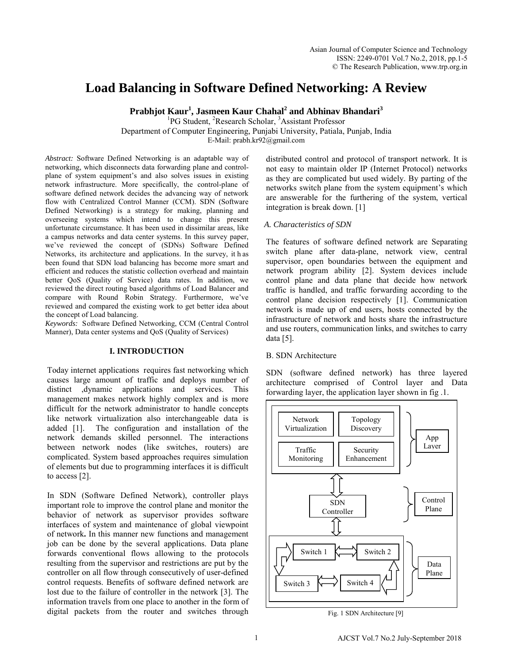# **Load Balancing in Software Defined Networking: A Review**

**Prabhjot Kaur<sup>1</sup> , Jasmeen Kaur Chahal<sup>2</sup> and Abhinav Bhandari<sup>3</sup>**

<sup>1</sup>PG Student, <sup>2</sup>Research Scholar, <sup>3</sup>Assistant Professor

Department of Computer Engineering, Punjabi University, Patiala, Punjab, India

E-Mail: prabh.kr92@gmail.com

*Abstract:* Software Defined Networking is an adaptable way of networking, which disconnects data forwarding plane and controlplane of system equipment's and also solves issues in existing network infrastructure. More specifically, the control-plane of software defined network decides the advancing way of network flow with Centralized Control Manner (CCM). SDN (Software Defined Networking) is a strategy for making, planning and overseeing systems which intend to change this present unfortunate circumstance. It has been used in dissimilar areas, like a campus networks and data center systems. In this survey paper, we've reviewed the concept of (SDNs) Software Defined Networks, its architecture and applications. In the survey, it h as been found that SDN load balancing has become more smart and efficient and reduces the statistic collection overhead and maintain better QoS (Quality of Service) data rates. In addition, we reviewed the direct routing based algorithms of Load Balancer and compare with Round Robin Strategy. Furthermore, we've reviewed and compared the existing work to get better idea about the concept of Load balancing.

*Keywords:* Software Defined Networking, CCM (Central Control Manner), Data center systems and QoS (Quality of Services)

## **I. INTRODUCTION**

Today internet applications requires fast networking which causes large amount of traffic and deploys number of distinct ,dynamic applications and services. This management makes network highly complex and is more difficult for the network administrator to handle concepts like network virtualization also interchangeable data is added [1]. The configuration and installation of the network demands skilled personnel. The interactions between network nodes (like switches, routers) are complicated. System based approaches requires simulation of elements but due to programming interfaces it is difficult to access [2].

In SDN (Software Defined Network), controller plays important role to improve the control plane and monitor the behavior of network as supervisor provides software interfaces of system and maintenance of global viewpoint of network**.** In this manner new functions and management job can be done by the several applications. Data plane forwards conventional flows allowing to the protocols resulting from the supervisor and restrictions are put by the controller on all flow through consecutively of user-defined control requests. Benefits of software defined network are lost due to the failure of controller in the network [3]. The information travels from one place to another in the form of digital packets from the router and switches through

distributed control and protocol of transport network. It is not easy to maintain older IP (Internet Protocol) networks as they are complicated but used widely. By parting of the networks switch plane from the system equipment's which are answerable for the furthering of the system, vertical integration is break down. [1]

## *A. Characteristics of SDN*

The features of software defined network are Separating switch plane after data-plane, network view, central supervisor, open boundaries between the equipment and network program ability [2]. System devices include control plane and data plane that decide how network traffic is handled, and traffic forwarding according to the control plane decision respectively [1]. Communication network is made up of end users, hosts connected by the infrastructure of network and hosts share the infrastructure and use routers, communication links, and switches to carry data [5].

## B. SDN Architecture

SDN (software defined network) has three layered architecture comprised of Control layer and Data forwarding layer, the application layer shown in fig .1.



Fig. 1 SDN Architecture [9]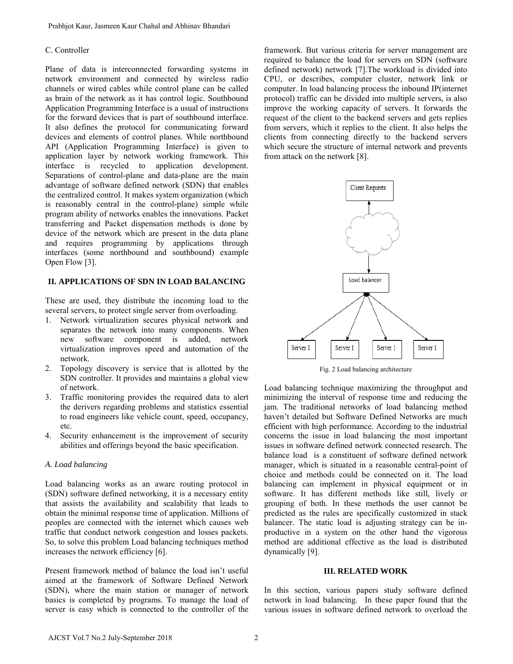## C. Controller

Plane of data is interconnected forwarding systems in network environment and connected by wireless radio channels or wired cables while control plane can be called as brain of the network as it has control logic. Southbound Application Programming Interface is a usual of instructions for the forward devices that is part of southbound interface. It also defines the protocol for communicating forward devices and elements of control planes. While northbound API (Application Programming Interface) is given to application layer by network working framework. This interface is recycled to application development. Separations of control-plane and data-plane are the main advantage of software defined network (SDN) that enables the centralized control. It makes system organization (which is reasonably central in the control-plane) simple while program ability of networks enables the innovations. Packet transferring and Packet dispensation methods is done by device of the network which are present in the data plane and requires programming by applications through interfaces (some northbound and southbound) example Open Flow [3].

## **II. APPLICATIONS OF SDN IN LOAD BALANCING**

These are used, they distribute the incoming load to the several servers, to protect single server from overloading.

- 1. Network virtualization secures physical network and separates the network into many components. When new software component is added, network virtualization improves speed and automation of the network.
- 2. Topology discovery is service that is allotted by the SDN controller. It provides and maintains a global view of network.
- 3. Traffic monitoring provides the required data to alert the derivers regarding problems and statistics essential to road engineers like vehicle count, speed, occupancy, etc.
- 4. Security enhancement is the improvement of security abilities and offerings beyond the basic specification.

#### *A. Load balancing*

Load balancing works as an aware routing protocol in (SDN) software defined networking, it is a necessary entity that assists the availability and scalability that leads to obtain the minimal response time of application. Millions of peoples are connected with the internet which causes web traffic that conduct network congestion and losses packets. So, to solve this problem Load balancing techniques method increases the network efficiency [6].

Present framework method of balance the load isn't useful aimed at the framework of Software Defined Network (SDN), where the main station or manager of network basics is completed by programs. To manage the load of server is easy which is connected to the controller of the

framework. But various criteria for server management are required to balance the load for servers on SDN (software defined network) network [7].The workload is divided into CPU, or describes, computer cluster, network link or computer. In load balancing process the inbound IP(internet protocol) traffic can be divided into multiple servers, is also improve the working capacity of servers. It forwards the request of the client to the backend servers and gets replies from servers, which it replies to the client. It also helps the clients from connecting directly to the backend servers which secure the structure of internal network and prevents from attack on the network [8].



Load balancing technique maximizing the throughput and minimizing the interval of response time and reducing the jam. The traditional networks of load balancing method haven't detailed but Software Defined Networks are much efficient with high performance. According to the industrial concerns the issue in load balancing the most important issues in software defined network connected research. The balance load is a constituent of software defined network manager, which is situated in a reasonable central-point of choice and methods could be connected on it. The load balancing can implement in physical equipment or in software. It has different methods like still, lively or grouping of both. In these methods the user cannot be predicted as the rules are specifically customized in stack balancer. The static load is adjusting strategy can be inproductive in a system on the other hand the vigorous method are additional effective as the load is distributed dynamically [9].

#### **III. RELATED WORK**

In this section, various papers study software defined network in load balancing. In these paper found that the various issues in software defined network to overload the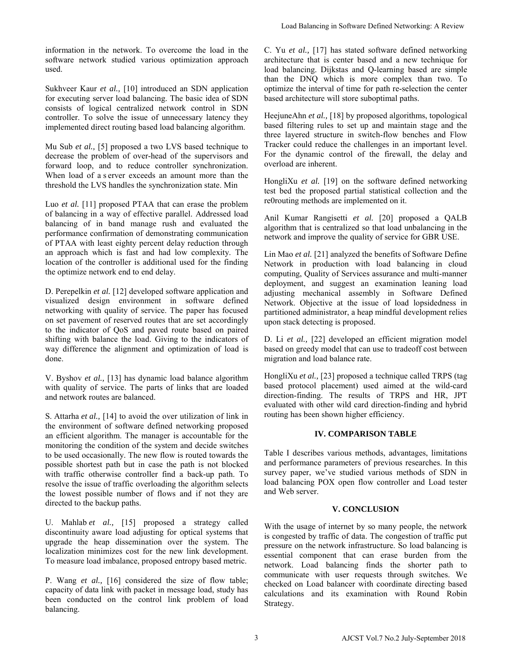information in the network. To overcome the load in the software network studied various optimization approach used.

Sukhveer Kaur *et al.,* [10] introduced an SDN application for executing server load balancing. The basic idea of SDN consists of logical centralized network control in SDN controller. To solve the issue of unnecessary latency they implemented direct routing based load balancing algorithm.

Mu Sub *et al.,* [5] proposed a two LVS based technique to decrease the problem of over-head of the supervisors and forward loop, and to reduce controller synchronization. When load of a s erver exceeds an amount more than the threshold the LVS handles the synchronization state. Min

Luo *et al.* [11] proposed PTAA that can erase the problem of balancing in a way of effective parallel. Addressed load balancing of in band manage rush and evaluated the performance confirmation of demonstrating communication of PTAA with least eighty percent delay reduction through an approach which is fast and had low complexity. The location of the controller is additional used for the finding the optimize network end to end delay.

D. Perepelkin *et al.* [12] developed software application and visualized design environment in software defined networking with quality of service. The paper has focused on set pavement of reserved routes that are set accordingly to the indicator of QoS and paved route based on paired shifting with balance the load. Giving to the indicators of way difference the alignment and optimization of load is done.

V. Byshov *et al.,* [13] has dynamic load balance algorithm with quality of service. The parts of links that are loaded and network routes are balanced.

S. Attarha *et al.,* [14] to avoid the over utilization of link in the environment of software defined networking proposed an efficient algorithm. The manager is accountable for the monitoring the condition of the system and decide switches to be used occasionally. The new flow is routed towards the possible shortest path but in case the path is not blocked with traffic otherwise controller find a back-up path. To resolve the issue of traffic overloading the algorithm selects the lowest possible number of flows and if not they are directed to the backup paths.

U. Mahlab *et al.,* [15] proposed a strategy called discontinuity aware load adjusting for optical systems that upgrade the heap dissemination over the system. The localization minimizes cost for the new link development. To measure load imbalance, proposed entropy based metric.

P. Wang *et al.,* [16] considered the size of flow table; capacity of data link with packet in message load, study has been conducted on the control link problem of load balancing.

C. Yu *et al.,* [17] has stated software defined networking architecture that is center based and a new technique for load balancing. Dijkstas and Q-learning based are simple than the DNQ which is more complex than two. To optimize the interval of time for path re-selection the center based architecture will store suboptimal paths.

HeejuneAhn *et al.,* [18] by proposed algorithms, topological based filtering rules to set up and maintain stage and the three layered structure in switch-flow benches and Flow Tracker could reduce the challenges in an important level. For the dynamic control of the firewall, the delay and overload are inherent.

HongliXu *et al.* [19] on the software defined networking test bed the proposed partial statistical collection and the re0routing methods are implemented on it.

Anil Kumar Rangisetti *et al.* [20] proposed a QALB algorithm that is centralized so that load unbalancing in the network and improve the quality of service for GBR USE.

Lin Mao *et al.* [21] analyzed the benefits of Software Define Network in production with load balancing in cloud computing, Quality of Services assurance and multi-manner deployment, and suggest an examination leaning load adjusting mechanical assembly in Software Defined Network. Objective at the issue of load lopsidedness in partitioned administrator, a heap mindful development relies upon stack detecting is proposed.

D. Li *et al.,* [22] developed an efficient migration model based on greedy model that can use to tradeoff cost between migration and load balance rate.

HongliXu *et al.,* [23] proposed a technique called TRPS (tag based protocol placement) used aimed at the wild-card direction-finding. The results of TRPS and HR, JPT evaluated with other wild card direction-finding and hybrid routing has been shown higher efficiency.

## **IV. COMPARISON TABLE**

Table I describes various methods, advantages, limitations and performance parameters of previous researches. In this survey paper, we've studied various methods of SDN in load balancing POX open flow controller and Load tester and Web server.

## **V. CONCLUSION**

With the usage of internet by so many people, the network is congested by traffic of data. The congestion of traffic put pressure on the network infrastructure. So load balancing is essential component that can erase burden from the network. Load balancing finds the shorter path to communicate with user requests through switches. We checked on Load balancer with coordinate directing based calculations and its examination with Round Robin Strategy. Load Balancing in Software Defined Networking: A Review<br>
carefulceture that is center based and a new technique for<br>
carefulceture that is center based and a new technique for<br>
load balancing. Dijekuas and O-learning base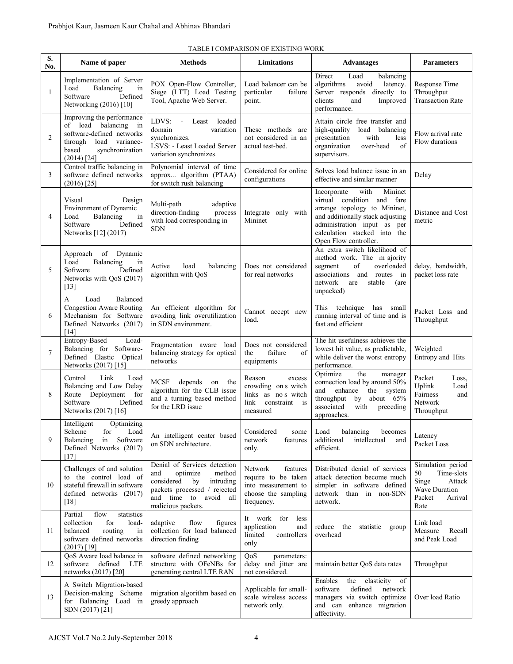| S.<br>No. | Name of paper                                                                                                                                               | <b>Methods</b>                                                                                                                                                            | <b>Limitations</b>                                                                                     | <b>Advantages</b>                                                                                                                                                                                                        | <b>Parameters</b>                                                                                      |
|-----------|-------------------------------------------------------------------------------------------------------------------------------------------------------------|---------------------------------------------------------------------------------------------------------------------------------------------------------------------------|--------------------------------------------------------------------------------------------------------|--------------------------------------------------------------------------------------------------------------------------------------------------------------------------------------------------------------------------|--------------------------------------------------------------------------------------------------------|
| 1         | Implementation of Server<br>Load<br>Balancing<br>in<br>Software<br>Defined<br>Networking (2016) [10]                                                        | POX Open-Flow Controller,<br>Siege (LTT) Load Testing<br>Tool, Apache Web Server.                                                                                         | Load balancer can be<br>particular<br>failure<br>point.                                                | Direct<br>Load<br>balancing<br>algorithms<br>avoid<br>latency.<br>Server responds<br>directly to<br>clients<br>and<br>Improved<br>performance.                                                                           | Response Time<br>Throughput<br><b>Transaction Rate</b>                                                 |
| 2         | Improving the performance<br>of load balancing<br>in<br>software-defined networks<br>through<br>load variance-<br>based<br>synchronization<br>$(2014)$ [24] | LDVS: - Least<br>loaded<br>domain<br>variation<br>synchronizes.<br>LSVS: - Least Loaded Server<br>variation synchronizes.                                                 | These methods are<br>not considered in an<br>actual test-bed.                                          | Attain circle free transfer and<br>high-quality<br>load balancing<br>presentation<br>with<br>less<br>organization<br>over-head<br>of<br>supervisors.                                                                     | Flow arrival rate<br>Flow durations                                                                    |
| 3         | Control traffic balancing in<br>software defined networks<br>$(2016)$ [25]                                                                                  | Polynomial interval of time<br>approx algorithm (PTAA)<br>for switch rush balancing                                                                                       | Considered for online<br>configurations                                                                | Solves load balance issue in an<br>effective and similar manner                                                                                                                                                          | Delay                                                                                                  |
| 4         | Visual<br>Design<br>Environment of Dynamic<br>Load<br>in<br>Balancing<br>Software<br>Defined<br>Networks [12] (2017)                                        | Multi-path<br>adaptive<br>direction-finding<br>process<br>with load corresponding in<br><b>SDN</b>                                                                        | Integrate only with<br>Mininet                                                                         | with<br>Incorporate<br>Mininet<br>virtual condition and fare<br>arrange topology to Mininet,<br>and additionally stack adjusting<br>administration input as per<br>calculation stacked into the<br>Open Flow controller. | Distance and Cost<br>metric                                                                            |
| 5         | of<br>Dynamic<br>Approach<br>Load<br>Balancing<br>in<br>Defined<br>Software<br>Networks with QoS (2017)<br>$[13]$                                           | Active<br>load<br>balancing<br>algorithm with QoS                                                                                                                         | Does not considered<br>for real networks                                                               | An extra switch likelihood of<br>method work. The m ajority<br>of<br>overloaded<br>segment<br>associations and routes in<br>stable<br>network<br>are<br>(are<br>unpacked)                                                | delay, bandwidth,<br>packet loss rate                                                                  |
| 6         | Balanced<br>A<br>Load<br><b>Congestion Aware Routing</b><br>Mechanism for Software<br>Defined Networks (2017)<br>[14]                                       | An efficient algorithm for<br>avoiding link overutilization<br>in SDN environment.                                                                                        | Cannot accept new<br>load.                                                                             | This technique<br>has<br>small<br>running interval of time and is<br>fast and efficient                                                                                                                                  | Packet Loss and<br>Throughput                                                                          |
| 7         | Entropy-Based<br>Load-<br>Balancing for Software-<br>Defined Elastic Optical<br>Networks (2017) [15]                                                        | Fragmentation aware load<br>balancing strategy for optical<br>networks                                                                                                    | Does not considered<br>the<br>failure<br>of<br>equipments                                              | The hit usefulness achieves the<br>lowest hit value, as predictable,<br>while deliver the worst entropy<br>performance.                                                                                                  | Weighted<br>Entropy and Hits                                                                           |
| 8         | Control<br>Link<br>Load<br>Balancing and Low Delay<br>Route Deployment<br>for<br>Software<br>Defined<br>Networks (2017) [16]                                | MCSF depends<br>the<br>on<br>algorithm for the CLB issue<br>and a turning based method<br>for the LRD issue                                                               | Reason<br>excess<br>crowding on s witch<br>links as no s witch<br>link<br>constraint is<br>measured    | the<br>Optimize<br>manager<br>connection load by around 50%<br>and<br>enhance<br>system<br>the<br>throughput by<br>about 65%<br>associated<br>with<br>preceding<br>approaches.                                           | Packet<br>Loss.<br>Uplink<br>Load<br>Fairness<br>and<br>Network<br>Throughput                          |
| 9         | Intelligent<br>Optimizing<br>Load<br>Scheme<br>for<br>in<br>Software<br>Balancing<br>Defined Networks (2017)<br>[17]                                        | An intelligent center based<br>on SDN architecture.                                                                                                                       | Considered<br>some<br>network<br>features<br>only.                                                     | Load<br>balancing<br>becomes<br>additional<br>intellectual<br>and<br>efficient.                                                                                                                                          | Latency<br>Packet Loss                                                                                 |
| 10        | Challenges of and solution<br>to the control load of<br>stateful firewall in software<br>defined networks (2017)<br>$[18]$                                  | Denial of Services detection<br>and<br>optimize<br>method<br>considered<br>intruding<br>by<br>packets processed / rejected<br>and time to avoid all<br>malicious packets. | Network<br>features<br>require to be taken<br>into measurement to<br>choose the sampling<br>frequency. | Distributed denial of services<br>attack detection become much<br>simpler in software defined<br>network than in non-SDN<br>network.                                                                                     | Simulation period<br>50<br>Time-slots<br>Singe<br>Attack<br>Wave Duration<br>Packet<br>Arrival<br>Rate |
| 11        | flow<br>statistics<br>Partial<br>for<br>collection<br>load-<br>balanced<br>routing<br>in<br>software defined networks<br>$(2017)$ [19]                      | adaptive<br>flow<br>figures<br>collection for load balanced<br>direction finding                                                                                          | It work for less<br>application<br>and<br>limited<br>controllers<br>only                               | reduce the<br>statistic<br>group<br>overhead                                                                                                                                                                             | Link load<br>Measure<br>Recall<br>and Peak Load                                                        |
| 12        | QoS Aware load balance in<br>software defined<br>LTE<br>networks (2017) [20]                                                                                | software defined networking<br>structure with OFeNBs for<br>generating central LTE RAN                                                                                    | QoS<br>parameters:<br>delay and jitter are<br>not considered.                                          | maintain better QoS data rates                                                                                                                                                                                           | Throughput                                                                                             |
| 13        | A Switch Migration-based<br>Decision-making Scheme<br>for Balancing Load in<br>SDN (2017) [21]                                                              | migration algorithm based on<br>greedy approach                                                                                                                           | Applicable for small-<br>scale wireless access<br>network only.                                        | Enables<br>elasticity<br>the<br>of<br>defined<br>software<br>network<br>managers via switch optimize<br>and can enhance migration<br>affectivity.                                                                        | Over load Ratio                                                                                        |

### TABLE I COMPARISON OF EXISTING WORK